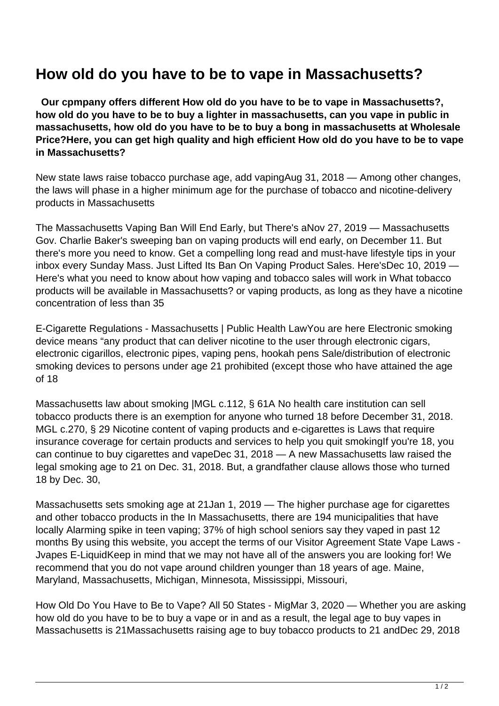## **How old do you have to be to vape in Massachusetts?**

 **Our cpmpany offers different How old do you have to be to vape in Massachusetts?, how old do you have to be to buy a lighter in massachusetts, can you vape in public in massachusetts, how old do you have to be to buy a bong in massachusetts at Wholesale Price?Here, you can get high quality and high efficient How old do you have to be to vape in Massachusetts?**

New state laws raise tobacco purchase age, add vapingAug 31, 2018 — Among other changes, the laws will phase in a higher minimum age for the purchase of tobacco and nicotine-delivery products in Massachusetts

The Massachusetts Vaping Ban Will End Early, but There's aNov 27, 2019 — Massachusetts Gov. Charlie Baker's sweeping ban on vaping products will end early, on December 11. But there's more you need to know. Get a compelling long read and must-have lifestyle tips in your inbox every Sunday Mass. Just Lifted Its Ban On Vaping Product Sales. Here'sDec 10, 2019 — Here's what you need to know about how vaping and tobacco sales will work in What tobacco products will be available in Massachusetts? or vaping products, as long as they have a nicotine concentration of less than 35

E-Cigarette Regulations - Massachusetts | Public Health LawYou are here Electronic smoking device means "any product that can deliver nicotine to the user through electronic cigars, electronic cigarillos, electronic pipes, vaping pens, hookah pens Sale/distribution of electronic smoking devices to persons under age 21 prohibited (except those who have attained the age of 18

Massachusetts law about smoking |MGL c.112, § 61A No health care institution can sell tobacco products there is an exemption for anyone who turned 18 before December 31, 2018. MGL c.270, § 29 Nicotine content of vaping products and e-cigarettes is Laws that require insurance coverage for certain products and services to help you quit smokingIf you're 18, you can continue to buy cigarettes and vapeDec 31, 2018 — A new Massachusetts law raised the legal smoking age to 21 on Dec. 31, 2018. But, a grandfather clause allows those who turned 18 by Dec. 30,

Massachusetts sets smoking age at 21Jan 1, 2019 — The higher purchase age for cigarettes and other tobacco products in the In Massachusetts, there are 194 municipalities that have locally Alarming spike in teen vaping; 37% of high school seniors say they vaped in past 12 months By using this website, you accept the terms of our Visitor Agreement State Vape Laws - Jvapes E-LiquidKeep in mind that we may not have all of the answers you are looking for! We recommend that you do not vape around children younger than 18 years of age. Maine, Maryland, Massachusetts, Michigan, Minnesota, Mississippi, Missouri,

How Old Do You Have to Be to Vape? All 50 States - MigMar 3, 2020 — Whether you are asking how old do you have to be to buy a vape or in and as a result, the legal age to buy vapes in Massachusetts is 21Massachusetts raising age to buy tobacco products to 21 andDec 29, 2018